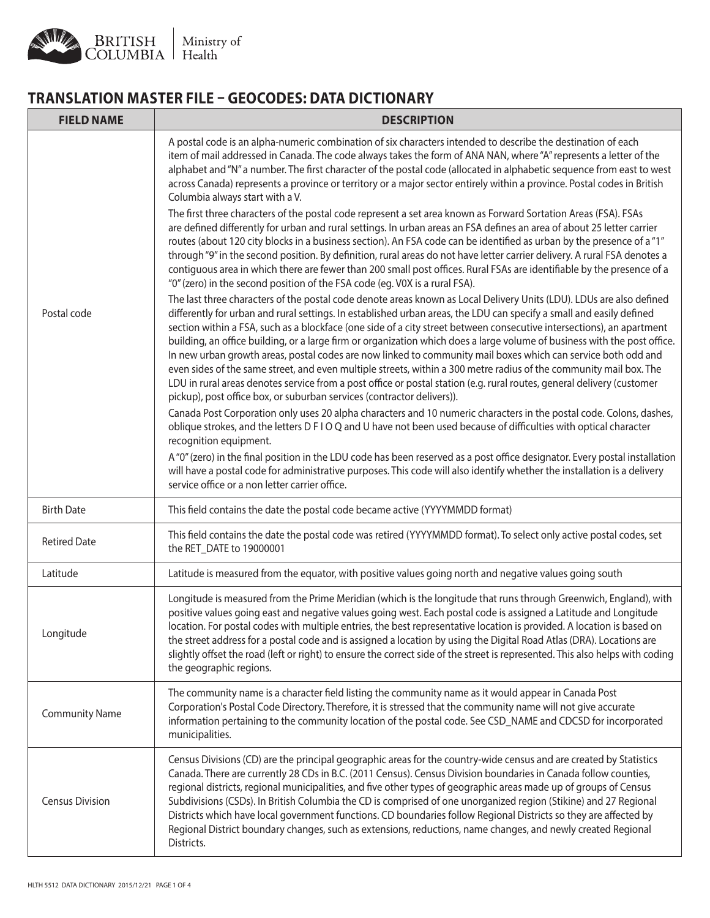## **TRANSLATION MASTER FILE – GEOCODES: DATA DICTIONARY**

| <b>FIELD NAME</b>      | <b>DESCRIPTION</b>                                                                                                                                                                                                                                                                                                                                                                                                                                                                                                                                                                                                                                                                                                                                                                                                                                                                                                                            |
|------------------------|-----------------------------------------------------------------------------------------------------------------------------------------------------------------------------------------------------------------------------------------------------------------------------------------------------------------------------------------------------------------------------------------------------------------------------------------------------------------------------------------------------------------------------------------------------------------------------------------------------------------------------------------------------------------------------------------------------------------------------------------------------------------------------------------------------------------------------------------------------------------------------------------------------------------------------------------------|
| Postal code            | A postal code is an alpha-numeric combination of six characters intended to describe the destination of each<br>item of mail addressed in Canada. The code always takes the form of ANA NAN, where "A" represents a letter of the<br>alphabet and "N" a number. The first character of the postal code (allocated in alphabetic sequence from east to west<br>across Canada) represents a province or territory or a major sector entirely within a province. Postal codes in British<br>Columbia always start with a V.<br>The first three characters of the postal code represent a set area known as Forward Sortation Areas (FSA). FSAs<br>are defined differently for urban and rural settings. In urban areas an FSA defines an area of about 25 letter carrier<br>routes (about 120 city blocks in a business section). An FSA code can be identified as urban by the presence of a "1"                                                |
|                        | through "9" in the second position. By definition, rural areas do not have letter carrier delivery. A rural FSA denotes a<br>contiguous area in which there are fewer than 200 small post offices. Rural FSAs are identifiable by the presence of a<br>"0" (zero) in the second position of the FSA code (eg. V0X is a rural FSA).                                                                                                                                                                                                                                                                                                                                                                                                                                                                                                                                                                                                            |
|                        | The last three characters of the postal code denote areas known as Local Delivery Units (LDU). LDUs are also defined<br>differently for urban and rural settings. In established urban areas, the LDU can specify a small and easily defined<br>section within a FSA, such as a blockface (one side of a city street between consecutive intersections), an apartment<br>building, an office building, or a large firm or organization which does a large volume of business with the post office.<br>In new urban growth areas, postal codes are now linked to community mail boxes which can service both odd and<br>even sides of the same street, and even multiple streets, within a 300 metre radius of the community mail box. The<br>LDU in rural areas denotes service from a post office or postal station (e.g. rural routes, general delivery (customer<br>pickup), post office box, or suburban services (contractor delivers)). |
|                        | Canada Post Corporation only uses 20 alpha characters and 10 numeric characters in the postal code. Colons, dashes,<br>oblique strokes, and the letters D F I O Q and U have not been used because of difficulties with optical character<br>recognition equipment.<br>A "0" (zero) in the final position in the LDU code has been reserved as a post office designator. Every postal installation<br>will have a postal code for administrative purposes. This code will also identify whether the installation is a delivery<br>service office or a non letter carrier office.                                                                                                                                                                                                                                                                                                                                                              |
| <b>Birth Date</b>      | This field contains the date the postal code became active (YYYYMMDD format)                                                                                                                                                                                                                                                                                                                                                                                                                                                                                                                                                                                                                                                                                                                                                                                                                                                                  |
| <b>Retired Date</b>    | This field contains the date the postal code was retired (YYYYMMDD format). To select only active postal codes, set<br>the RET_DATE to 19000001                                                                                                                                                                                                                                                                                                                                                                                                                                                                                                                                                                                                                                                                                                                                                                                               |
| Latitude               | Latitude is measured from the equator, with positive values going north and negative values going south                                                                                                                                                                                                                                                                                                                                                                                                                                                                                                                                                                                                                                                                                                                                                                                                                                       |
| Longitude              | Longitude is measured from the Prime Meridian (which is the longitude that runs through Greenwich, England), with<br>positive values going east and negative values going west. Each postal code is assigned a Latitude and Longitude<br>location. For postal codes with multiple entries, the best representative location is provided. A location is based on<br>the street address for a postal code and is assigned a location by using the Digital Road Atlas (DRA). Locations are<br>slightly offset the road (left or right) to ensure the correct side of the street is represented. This also helps with coding<br>the geographic regions.                                                                                                                                                                                                                                                                                           |
| <b>Community Name</b>  | The community name is a character field listing the community name as it would appear in Canada Post<br>Corporation's Postal Code Directory. Therefore, it is stressed that the community name will not give accurate<br>information pertaining to the community location of the postal code. See CSD_NAME and CDCSD for incorporated<br>municipalities.                                                                                                                                                                                                                                                                                                                                                                                                                                                                                                                                                                                      |
| <b>Census Division</b> | Census Divisions (CD) are the principal geographic areas for the country-wide census and are created by Statistics<br>Canada. There are currently 28 CDs in B.C. (2011 Census). Census Division boundaries in Canada follow counties,<br>regional districts, regional municipalities, and five other types of geographic areas made up of groups of Census<br>Subdivisions (CSDs). In British Columbia the CD is comprised of one unorganized region (Stikine) and 27 Regional<br>Districts which have local government functions. CD boundaries follow Regional Districts so they are affected by<br>Regional District boundary changes, such as extensions, reductions, name changes, and newly created Regional<br>Districts.                                                                                                                                                                                                              |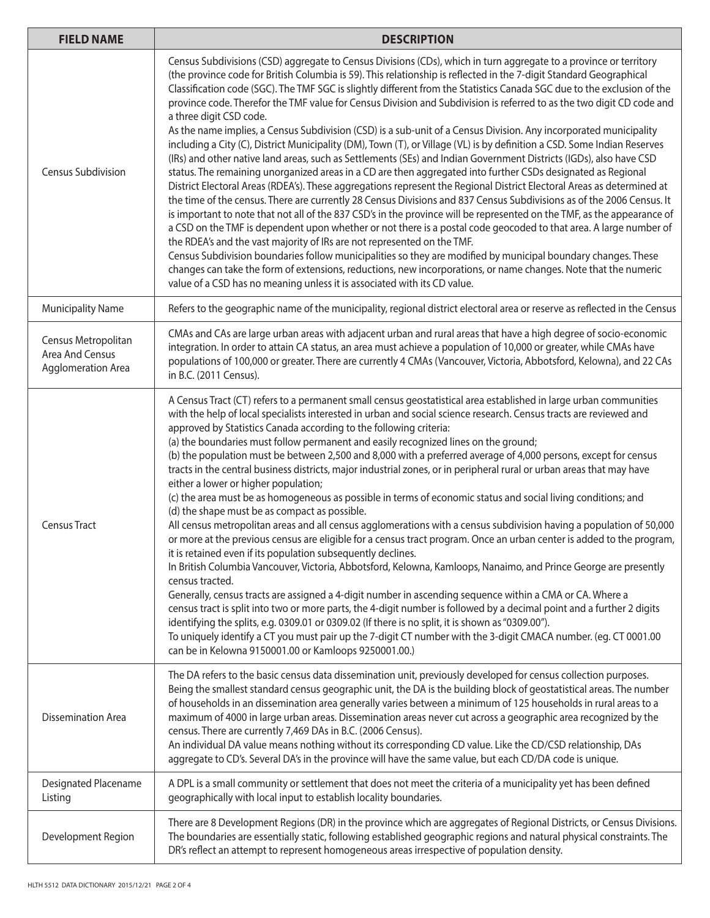| <b>FIELD NAME</b>                                            | <b>DESCRIPTION</b>                                                                                                                                                                                                                                                                                                                                                                                                                                                                                                                                                                                                                                                                                                                                                                                                                                                                                                                                                                                                                                                                                                                                                                                                                                                                                                                                                                                                                                                                                                                                                                                                                                                                                                                                                                                                                                                                                           |
|--------------------------------------------------------------|--------------------------------------------------------------------------------------------------------------------------------------------------------------------------------------------------------------------------------------------------------------------------------------------------------------------------------------------------------------------------------------------------------------------------------------------------------------------------------------------------------------------------------------------------------------------------------------------------------------------------------------------------------------------------------------------------------------------------------------------------------------------------------------------------------------------------------------------------------------------------------------------------------------------------------------------------------------------------------------------------------------------------------------------------------------------------------------------------------------------------------------------------------------------------------------------------------------------------------------------------------------------------------------------------------------------------------------------------------------------------------------------------------------------------------------------------------------------------------------------------------------------------------------------------------------------------------------------------------------------------------------------------------------------------------------------------------------------------------------------------------------------------------------------------------------------------------------------------------------------------------------------------------------|
| <b>Census Subdivision</b>                                    | Census Subdivisions (CSD) aggregate to Census Divisions (CDs), which in turn aggregate to a province or territory<br>(the province code for British Columbia is 59). This relationship is reflected in the 7-digit Standard Geographical<br>Classification code (SGC). The TMF SGC is slightly different from the Statistics Canada SGC due to the exclusion of the<br>province code. Therefor the TMF value for Census Division and Subdivision is referred to as the two digit CD code and<br>a three digit CSD code.<br>As the name implies, a Census Subdivision (CSD) is a sub-unit of a Census Division. Any incorporated municipality<br>including a City (C), District Municipality (DM), Town (T), or Village (VL) is by definition a CSD. Some Indian Reserves<br>(IRs) and other native land areas, such as Settlements (SEs) and Indian Government Districts (IGDs), also have CSD<br>status. The remaining unorganized areas in a CD are then aggregated into further CSDs designated as Regional<br>District Electoral Areas (RDEA's). These aggregations represent the Regional District Electoral Areas as determined at<br>the time of the census. There are currently 28 Census Divisions and 837 Census Subdivisions as of the 2006 Census. It<br>is important to note that not all of the 837 CSD's in the province will be represented on the TMF, as the appearance of<br>a CSD on the TMF is dependent upon whether or not there is a postal code geocoded to that area. A large number of<br>the RDEA's and the vast majority of IRs are not represented on the TMF.<br>Census Subdivision boundaries follow municipalities so they are modified by municipal boundary changes. These<br>changes can take the form of extensions, reductions, new incorporations, or name changes. Note that the numeric<br>value of a CSD has no meaning unless it is associated with its CD value. |
| <b>Municipality Name</b>                                     | Refers to the geographic name of the municipality, regional district electoral area or reserve as reflected in the Census                                                                                                                                                                                                                                                                                                                                                                                                                                                                                                                                                                                                                                                                                                                                                                                                                                                                                                                                                                                                                                                                                                                                                                                                                                                                                                                                                                                                                                                                                                                                                                                                                                                                                                                                                                                    |
| Census Metropolitan<br>Area And Census<br>Agglomeration Area | CMAs and CAs are large urban areas with adjacent urban and rural areas that have a high degree of socio-economic<br>integration. In order to attain CA status, an area must achieve a population of 10,000 or greater, while CMAs have<br>populations of 100,000 or greater. There are currently 4 CMAs (Vancouver, Victoria, Abbotsford, Kelowna), and 22 CAs<br>in B.C. (2011 Census).                                                                                                                                                                                                                                                                                                                                                                                                                                                                                                                                                                                                                                                                                                                                                                                                                                                                                                                                                                                                                                                                                                                                                                                                                                                                                                                                                                                                                                                                                                                     |
| <b>Census Tract</b>                                          | A Census Tract (CT) refers to a permanent small census geostatistical area established in large urban communities<br>with the help of local specialists interested in urban and social science research. Census tracts are reviewed and<br>approved by Statistics Canada according to the following criteria:<br>(a) the boundaries must follow permanent and easily recognized lines on the ground;<br>(b) the population must be between 2,500 and 8,000 with a preferred average of 4,000 persons, except for census<br>tracts in the central business districts, major industrial zones, or in peripheral rural or urban areas that may have<br>either a lower or higher population;<br>(c) the area must be as homogeneous as possible in terms of economic status and social living conditions; and<br>(d) the shape must be as compact as possible.<br>All census metropolitan areas and all census agglomerations with a census subdivision having a population of 50,000<br>or more at the previous census are eligible for a census tract program. Once an urban center is added to the program,<br>it is retained even if its population subsequently declines.<br>In British Columbia Vancouver, Victoria, Abbotsford, Kelowna, Kamloops, Nanaimo, and Prince George are presently<br>census tracted.<br>Generally, census tracts are assigned a 4-digit number in ascending sequence within a CMA or CA. Where a<br>census tract is split into two or more parts, the 4-digit number is followed by a decimal point and a further 2 digits<br>identifying the splits, e.g. 0309.01 or 0309.02 (If there is no split, it is shown as "0309.00").<br>To uniquely identify a CT you must pair up the 7-digit CT number with the 3-digit CMACA number. (eg. CT 0001.00<br>can be in Kelowna 9150001.00 or Kamloops 9250001.00.)                                                                     |
| <b>Dissemination Area</b>                                    | The DA refers to the basic census data dissemination unit, previously developed for census collection purposes.<br>Being the smallest standard census geographic unit, the DA is the building block of geostatistical areas. The number<br>of households in an dissemination area generally varies between a minimum of 125 households in rural areas to a<br>maximum of 4000 in large urban areas. Dissemination areas never cut across a geographic area recognized by the<br>census. There are currently 7,469 DAs in B.C. (2006 Census).<br>An individual DA value means nothing without its corresponding CD value. Like the CD/CSD relationship, DAs<br>aggregate to CD's. Several DA's in the province will have the same value, but each CD/DA code is unique.                                                                                                                                                                                                                                                                                                                                                                                                                                                                                                                                                                                                                                                                                                                                                                                                                                                                                                                                                                                                                                                                                                                                       |
| Designated Placename<br>Listing                              | A DPL is a small community or settlement that does not meet the criteria of a municipality yet has been defined<br>geographically with local input to establish locality boundaries.                                                                                                                                                                                                                                                                                                                                                                                                                                                                                                                                                                                                                                                                                                                                                                                                                                                                                                                                                                                                                                                                                                                                                                                                                                                                                                                                                                                                                                                                                                                                                                                                                                                                                                                         |
| Development Region                                           | There are 8 Development Regions (DR) in the province which are aggregates of Regional Districts, or Census Divisions.<br>The boundaries are essentially static, following established geographic regions and natural physical constraints. The<br>DR's reflect an attempt to represent homogeneous areas irrespective of population density.                                                                                                                                                                                                                                                                                                                                                                                                                                                                                                                                                                                                                                                                                                                                                                                                                                                                                                                                                                                                                                                                                                                                                                                                                                                                                                                                                                                                                                                                                                                                                                 |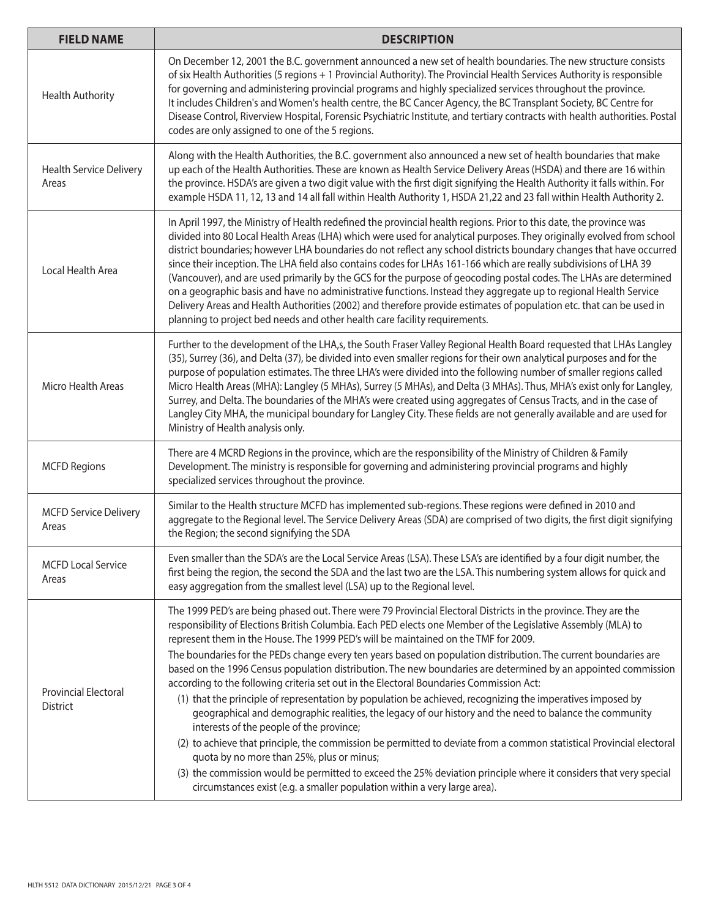| <b>FIELD NAME</b>                              | <b>DESCRIPTION</b>                                                                                                                                                                                                                                                                                                                                                                                                                                                                                                                                                                                                                                                                                                                                                                                                                                                                                                                                                                                                                                                                                                                                                                                                                                                                                 |
|------------------------------------------------|----------------------------------------------------------------------------------------------------------------------------------------------------------------------------------------------------------------------------------------------------------------------------------------------------------------------------------------------------------------------------------------------------------------------------------------------------------------------------------------------------------------------------------------------------------------------------------------------------------------------------------------------------------------------------------------------------------------------------------------------------------------------------------------------------------------------------------------------------------------------------------------------------------------------------------------------------------------------------------------------------------------------------------------------------------------------------------------------------------------------------------------------------------------------------------------------------------------------------------------------------------------------------------------------------|
| <b>Health Authority</b>                        | On December 12, 2001 the B.C. government announced a new set of health boundaries. The new structure consists<br>of six Health Authorities (5 regions + 1 Provincial Authority). The Provincial Health Services Authority is responsible<br>for governing and administering provincial programs and highly specialized services throughout the province.<br>It includes Children's and Women's health centre, the BC Cancer Agency, the BC Transplant Society, BC Centre for<br>Disease Control, Riverview Hospital, Forensic Psychiatric Institute, and tertiary contracts with health authorities. Postal<br>codes are only assigned to one of the 5 regions.                                                                                                                                                                                                                                                                                                                                                                                                                                                                                                                                                                                                                                    |
| <b>Health Service Delivery</b><br>Areas        | Along with the Health Authorities, the B.C. government also announced a new set of health boundaries that make<br>up each of the Health Authorities. These are known as Health Service Delivery Areas (HSDA) and there are 16 within<br>the province. HSDA's are given a two digit value with the first digit signifying the Health Authority it falls within. For<br>example HSDA 11, 12, 13 and 14 all fall within Health Authority 1, HSDA 21,22 and 23 fall within Health Authority 2.                                                                                                                                                                                                                                                                                                                                                                                                                                                                                                                                                                                                                                                                                                                                                                                                         |
| Local Health Area                              | In April 1997, the Ministry of Health redefined the provincial health regions. Prior to this date, the province was<br>divided into 80 Local Health Areas (LHA) which were used for analytical purposes. They originally evolved from school<br>district boundaries; however LHA boundaries do not reflect any school districts boundary changes that have occurred<br>since their inception. The LHA field also contains codes for LHAs 161-166 which are really subdivisions of LHA 39<br>(Vancouver), and are used primarily by the GCS for the purpose of geocoding postal codes. The LHAs are determined<br>on a geographic basis and have no administrative functions. Instead they aggregate up to regional Health Service<br>Delivery Areas and Health Authorities (2002) and therefore provide estimates of population etc. that can be used in<br>planning to project bed needs and other health care facility requirements.                                                                                                                                                                                                                                                                                                                                                             |
| Micro Health Areas                             | Further to the development of the LHA,s, the South Fraser Valley Regional Health Board requested that LHAs Langley<br>(35), Surrey (36), and Delta (37), be divided into even smaller regions for their own analytical purposes and for the<br>purpose of population estimates. The three LHA's were divided into the following number of smaller regions called<br>Micro Health Areas (MHA): Langley (5 MHAs), Surrey (5 MHAs), and Delta (3 MHAs). Thus, MHA's exist only for Langley,<br>Surrey, and Delta. The boundaries of the MHA's were created using aggregates of Census Tracts, and in the case of<br>Langley City MHA, the municipal boundary for Langley City. These fields are not generally available and are used for<br>Ministry of Health analysis only.                                                                                                                                                                                                                                                                                                                                                                                                                                                                                                                         |
| <b>MCFD Regions</b>                            | There are 4 MCRD Regions in the province, which are the responsibility of the Ministry of Children & Family<br>Development. The ministry is responsible for governing and administering provincial programs and highly<br>specialized services throughout the province.                                                                                                                                                                                                                                                                                                                                                                                                                                                                                                                                                                                                                                                                                                                                                                                                                                                                                                                                                                                                                            |
| <b>MCFD Service Delivery</b><br>Areas          | Similar to the Health structure MCFD has implemented sub-regions. These regions were defined in 2010 and<br>aggregate to the Regional level. The Service Delivery Areas (SDA) are comprised of two digits, the first digit signifying<br>the Region; the second signifying the SDA                                                                                                                                                                                                                                                                                                                                                                                                                                                                                                                                                                                                                                                                                                                                                                                                                                                                                                                                                                                                                 |
| <b>MCFD Local Service</b><br>Areas             | Even smaller than the SDA's are the Local Service Areas (LSA). These LSA's are identified by a four digit number, the<br>first being the region, the second the SDA and the last two are the LSA. This numbering system allows for quick and<br>easy aggregation from the smallest level (LSA) up to the Regional level.                                                                                                                                                                                                                                                                                                                                                                                                                                                                                                                                                                                                                                                                                                                                                                                                                                                                                                                                                                           |
| <b>Provincial Electoral</b><br><b>District</b> | The 1999 PED's are being phased out. There were 79 Provincial Electoral Districts in the province. They are the<br>responsibility of Elections British Columbia. Each PED elects one Member of the Legislative Assembly (MLA) to<br>represent them in the House. The 1999 PED's will be maintained on the TMF for 2009.<br>The boundaries for the PEDs change every ten years based on population distribution. The current boundaries are<br>based on the 1996 Census population distribution. The new boundaries are determined by an appointed commission<br>according to the following criteria set out in the Electoral Boundaries Commission Act:<br>(1) that the principle of representation by population be achieved, recognizing the imperatives imposed by<br>geographical and demographic realities, the legacy of our history and the need to balance the community<br>interests of the people of the province;<br>(2) to achieve that principle, the commission be permitted to deviate from a common statistical Provincial electoral<br>quota by no more than 25%, plus or minus;<br>(3) the commission would be permitted to exceed the 25% deviation principle where it considers that very special<br>circumstances exist (e.g. a smaller population within a very large area). |